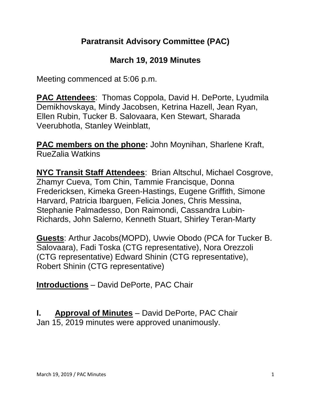## **Paratransit Advisory Committee (PAC)**

### **March 19, 2019 Minutes**

Meeting commenced at 5:06 p.m.

**PAC Attendees**: Thomas Coppola, David H. DePorte, Lyudmila Demikhovskaya, Mindy Jacobsen, Ketrina Hazell, Jean Ryan, Ellen Rubin, Tucker B. Salovaara, Ken Stewart, Sharada Veerubhotla, Stanley Weinblatt,

**PAC members on the phone:** John Moynihan, Sharlene Kraft, RueZalia Watkins

**NYC Transit Staff Attendees**: Brian Altschul, Michael Cosgrove, Zhamyr Cueva, Tom Chin, Tammie Francisque, Donna Fredericksen, Kimeka Green-Hastings, Eugene Griffith, Simone Harvard, Patricia Ibarguen, Felicia Jones, Chris Messina, Stephanie Palmadesso, Don Raimondi, Cassandra Lubin-Richards, John Salerno, Kenneth Stuart, Shirley Teran-Marty

**Guests**: Arthur Jacobs(MOPD), Uwvie Obodo (PCA for Tucker B. Salovaara), Fadi Toska (CTG representative), Nora Orezzoli (CTG representative) Edward Shinin (CTG representative), Robert Shinin (CTG representative)

**Introductions** – David DePorte, PAC Chair

**I. Approval of Minutes** – David DePorte, PAC Chair Jan 15, 2019 minutes were approved unanimously.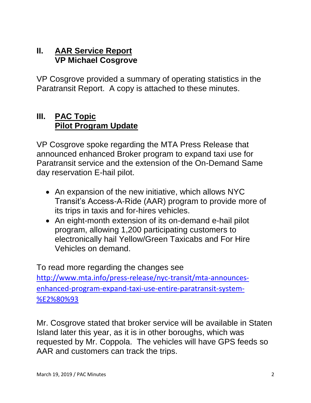#### **II. AAR Service Report VP Michael Cosgrove**

VP Cosgrove provided a summary of operating statistics in the Paratransit Report. A copy is attached to these minutes.

#### **III. PAC Topic Pilot Program Update**

VP Cosgrove spoke regarding the MTA Press Release that announced enhanced Broker program to expand taxi use for Paratransit service and the extension of the On-Demand Same day reservation E-hail pilot.

- An expansion of the new initiative, which allows NYC Transit's Access-A-Ride (AAR) program to provide more of its trips in taxis and for-hires vehicles.
- An eight-month extension of its on-demand e-hail pilot program, allowing 1,200 participating customers to electronically hail Yellow/Green Taxicabs and For Hire Vehicles on demand.

To read more regarding the changes see [http://www.mta.info/press-release/nyc-transit/mta-announces](http://www.mta.info/press-release/nyc-transit/mta-announces-enhanced-program-expand-taxi-use-entire-paratransit-system-%E2%80%93)[enhanced-program-expand-taxi-use-entire-paratransit-system-](http://www.mta.info/press-release/nyc-transit/mta-announces-enhanced-program-expand-taxi-use-entire-paratransit-system-%E2%80%93) [%E2%80%93](http://www.mta.info/press-release/nyc-transit/mta-announces-enhanced-program-expand-taxi-use-entire-paratransit-system-%E2%80%93)

Mr. Cosgrove stated that broker service will be available in Staten Island later this year, as it is in other boroughs, which was requested by Mr. Coppola. The vehicles will have GPS feeds so AAR and customers can track the trips.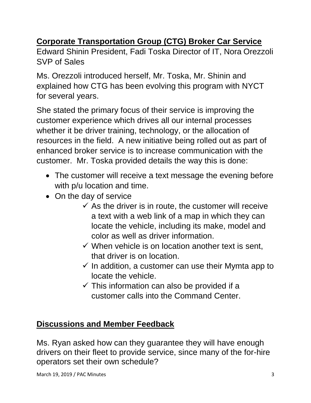## **Corporate Transportation Group (CTG) Broker Car Service**

Edward Shinin President, Fadi Toska Director of IT, Nora Orezzoli SVP of Sales

Ms. Orezzoli introduced herself, Mr. Toska, Mr. Shinin and explained how CTG has been evolving this program with NYCT for several years.

She stated the primary focus of their service is improving the customer experience which drives all our internal processes whether it be driver training, technology, or the allocation of resources in the field. A new initiative being rolled out as part of enhanced broker service is to increase communication with the customer. Mr. Toska provided details the way this is done:

- The customer will receive a text message the evening before with p/u location and time.
- On the day of service
	- $\checkmark$  As the driver is in route, the customer will receive a text with a web link of a map in which they can locate the vehicle, including its make, model and color as well as driver information.
	- $\checkmark$  When vehicle is on location another text is sent. that driver is on location.
	- $\checkmark$  In addition, a customer can use their Mymta app to locate the vehicle.
	- $\checkmark$  This information can also be provided if a customer calls into the Command Center.

## **Discussions and Member Feedback**

Ms. Ryan asked how can they guarantee they will have enough drivers on their fleet to provide service, since many of the for-hire operators set their own schedule?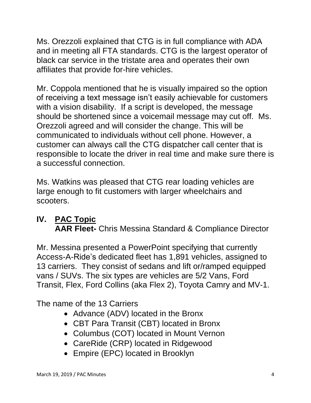Ms. Orezzoli explained that CTG is in full compliance with ADA and in meeting all FTA standards. CTG is the largest operator of black car service in the tristate area and operates their own affiliates that provide for-hire vehicles.

Mr. Coppola mentioned that he is visually impaired so the option of receiving a text message isn't easily achievable for customers with a vision disability. If a script is developed, the message should be shortened since a voicemail message may cut off. Ms. Orezzoli agreed and will consider the change. This will be communicated to individuals without cell phone. However, a customer can always call the CTG dispatcher call center that is responsible to locate the driver in real time and make sure there is a successful connection.

Ms. Watkins was pleased that CTG rear loading vehicles are large enough to fit customers with larger wheelchairs and scooters.

## **IV. PAC Topic AAR Fleet-** Chris Messina Standard & Compliance Director

Mr. Messina presented a PowerPoint specifying that currently Access-A-Ride's dedicated fleet has 1,891 vehicles, assigned to 13 carriers. They consist of sedans and lift or/ramped equipped vans / SUVs. The six types are vehicles are 5/2 Vans, Ford Transit, Flex, Ford Collins (aka Flex 2), Toyota Camry and MV-1.

The name of the 13 Carriers

- Advance (ADV) located in the Bronx
- CBT Para Transit (CBT) located in Bronx
- Columbus (COT) located in Mount Vernon
- CareRide (CRP) located in Ridgewood
- Empire (EPC) located in Brooklyn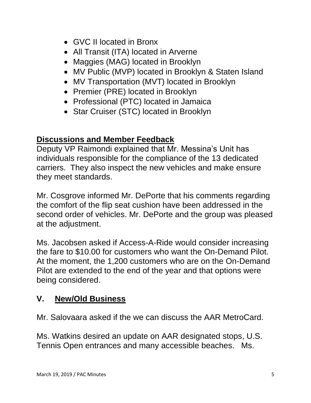- GVC II located in Bronx
- All Transit (ITA) located in Arverne
- Maggies (MAG) located in Brooklyn
- MV Public (MVP) located in Brooklyn & Staten Island
- MV Transportation (MVT) located in Brooklyn
- Premier (PRE) located in Brooklyn
- Professional (PTC) located in Jamaica
- Star Cruiser (STC) located in Brooklyn

### **Discussions and Member Feedback**

Deputy VP Raimondi explained that Mr. Messina's Unit has individuals responsible for the compliance of the 13 dedicated carriers. They also inspect the new vehicles and make ensure they meet standards.

Mr. Cosgrove informed Mr. DePorte that his comments regarding the comfort of the flip seat cushion have been addressed in the second order of vehicles. Mr. DePorte and the group was pleased at the adjustment.

Ms. Jacobsen asked if Access-A-Ride would consider increasing the fare to \$10.00 for customers who want the On-Demand Pilot. At the moment, the 1,200 customers who are on the On-Demand Pilot are extended to the end of the year and that options were being considered.

## **V. New/Old Business**

Mr. Salovaara asked if the we can discuss the AAR MetroCard.

Ms. Watkins desired an update on AAR designated stops, U.S. Tennis Open entrances and many accessible beaches. Ms.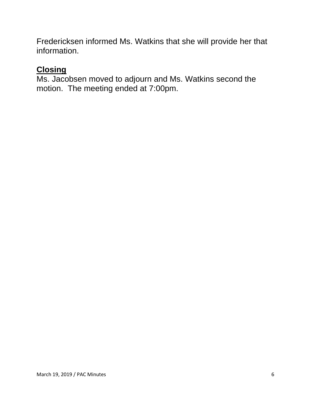Fredericksen informed Ms. Watkins that she will provide her that information.

#### **Closing**

Ms. Jacobsen moved to adjourn and Ms. Watkins second the motion. The meeting ended at 7:00pm.